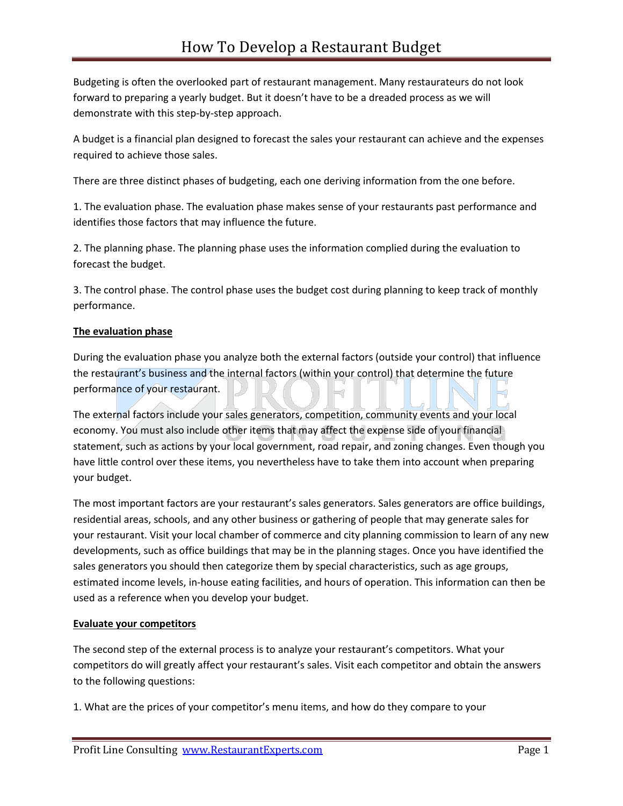Budgeting is often the overlooked part of restaurant management. Many restaurateurs do not look forward to preparing a yearly budget. But it doesn't have to be a dreaded process as we will demonstrate with this step-by-step approach.

A budget is a financial plan designed to forecast the sales your restaurant can achieve and the expenses required to achieve those sales.

There are three distinct phases of budgeting, each one deriving information from the one before.

1. The evaluation phase. The evaluation phase makes sense of your restaurants past performance and identifies those factors that may influence the future.

2. The planning phase. The planning phase uses the information complied during the evaluation to forecast the budget.

3. The control phase. The control phase uses the budget cost during planning to keep track of monthly performance.

## **The evaluation phase**

During the evaluation phase you analyze both the external factors (outside your control) that influence the restaurant's business and the internal factors (within your control) that determine the future performance of your restaurant.

The external factors include your sales generators, competition, community events and your local economy. You must also include other items that may affect the expense side of your financial statement, such as actions by your local government, road repair, and zoning changes. Even though you have little control over these items, you nevertheless have to take them into account when preparing your budget.

The most important factors are your restaurant's sales generators. Sales generators are office buildings, residential areas, schools, and any other business or gathering of people that may generate sales for your restaurant. Visit your local chamber of commerce and city planning commission to learn of any new developments, such as office buildings that may be in the planning stages. Once you have identified the sales generators you should then categorize them by special characteristics, such as age groups, estimated income levels, in-house eating facilities, and hours of operation. This information can then be used as a reference when you develop your budget.

### **Evaluate your competitors**

The second step of the external process is to analyze your restaurant's competitors. What your competitors do will greatly affect your restaurant's sales. Visit each competitor and obtain the answers to the following questions:

1. What are the prices of your competitor's menu items, and how do they compare to your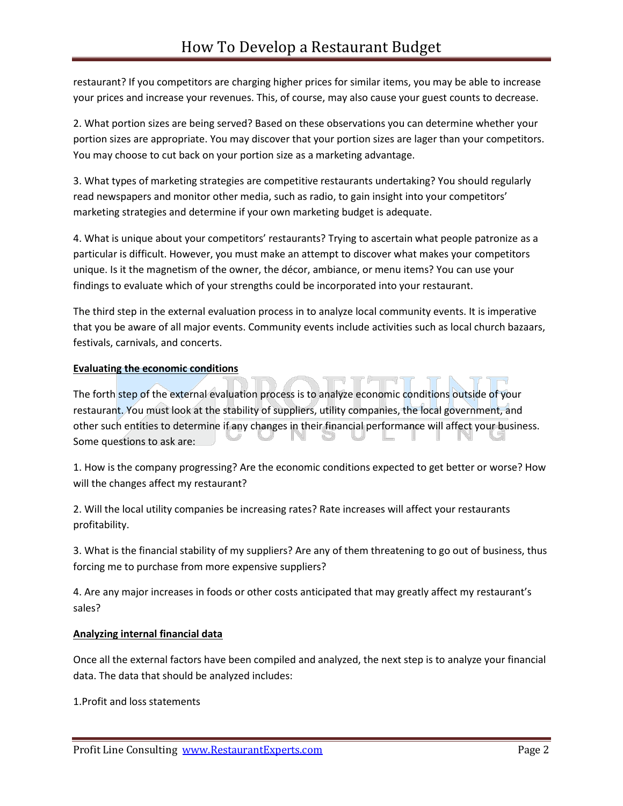restaurant? If you competitors are charging higher prices for similar items, you may be able to increase your prices and increase your revenues. This, of course, may also cause your guest counts to decrease.

2. What portion sizes are being served? Based on these observations you can determine whether your portion sizes are appropriate. You may discover that your portion sizes are lager than your competitors. You may choose to cut back on your portion size as a marketing advantage.

3. What types of marketing strategies are competitive restaurants undertaking? You should regularly read newspapers and monitor other media, such as radio, to gain insight into your competitors' marketing strategies and determine if your own marketing budget is adequate.

4. What is unique about your competitors' restaurants? Trying to ascertain what people patronize as a particular is difficult. However, you must make an attempt to discover what makes your competitors unique. Is it the magnetism of the owner, the décor, ambiance, or menu items? You can use your findings to evaluate which of your strengths could be incorporated into your restaurant.

The third step in the external evaluation process in to analyze local community events. It is imperative that you be aware of all major events. Community events include activities such as local church bazaars, festivals, carnivals, and concerts.

# **Evaluating the economic conditions**

The forth step of the external evaluation process is to analyze economic conditions outside of your restaurant. You must look at the stability of suppliers, utility companies, the local government, and other such entities to determine if any changes in their financial performance will affect your business. Some questions to ask are:

1. How is the company progressing? Are the economic conditions expected to get better or worse? How will the changes affect my restaurant?

2. Will the local utility companies be increasing rates? Rate increases will affect your restaurants profitability.

3. What is the financial stability of my suppliers? Are any of them threatening to go out of business, thus forcing me to purchase from more expensive suppliers?

4. Are any major increases in foods or other costs anticipated that may greatly affect my restaurant's sales?

### **Analyzing internal financial data**

Once all the external factors have been compiled and analyzed, the next step is to analyze your financial data. The data that should be analyzed includes:

1.Profit and loss statements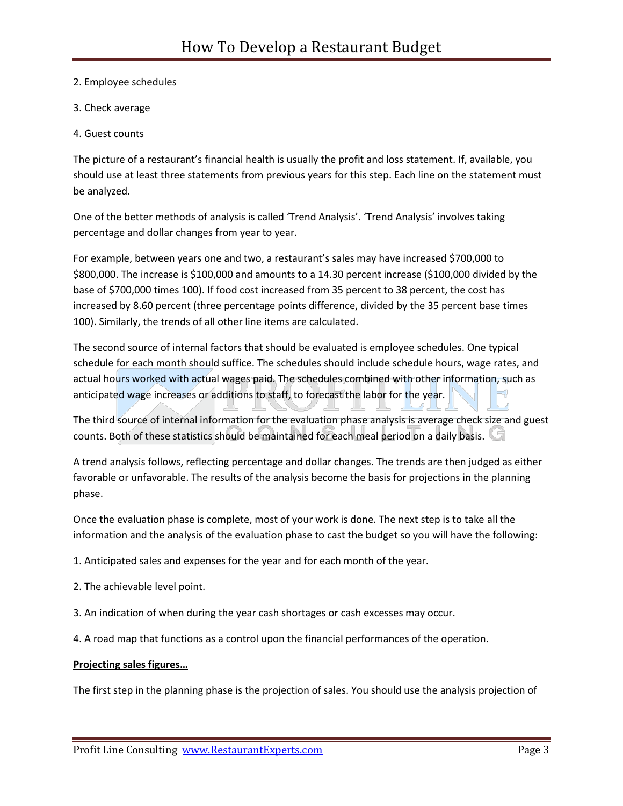- 2. Employee schedules
- 3. Check average
- 4. Guest counts

The picture of a restaurant's financial health is usually the profit and loss statement. If, available, you should use at least three statements from previous years for this step. Each line on the statement must be analyzed.

One of the better methods of analysis is called 'Trend Analysis'. 'Trend Analysis' involves taking percentage and dollar changes from year to year.

For example, between years one and two, a restaurant's sales may have increased \$700,000 to \$800,000. The increase is \$100,000 and amounts to a 14.30 percent increase (\$100,000 divided by the base of \$700,000 times 100). If food cost increased from 35 percent to 38 percent, the cost has increased by 8.60 percent (three percentage points difference, divided by the 35 percent base times 100). Similarly, the trends of all other line items are calculated.

The second source of internal factors that should be evaluated is employee schedules. One typical schedule for each month should suffice. The schedules should include schedule hours, wage rates, and actual hours worked with actual wages paid. The schedules combined with other information, such as anticipated wage increases or additions to staff, to forecast the labor for the year.

The third source of internal information for the evaluation phase analysis is average check size and guest counts. Both of these statistics should be maintained for each meal period on a daily basis.

A trend analysis follows, reflecting percentage and dollar changes. The trends are then judged as either favorable or unfavorable. The results of the analysis become the basis for projections in the planning phase.

Once the evaluation phase is complete, most of your work is done. The next step is to take all the information and the analysis of the evaluation phase to cast the budget so you will have the following:

- 1. Anticipated sales and expenses for the year and for each month of the year.
- 2. The achievable level point.
- 3. An indication of when during the year cash shortages or cash excesses may occur.
- 4. A road map that functions as a control upon the financial performances of the operation.

### **Projecting sales figures…**

The first step in the planning phase is the projection of sales. You should use the analysis projection of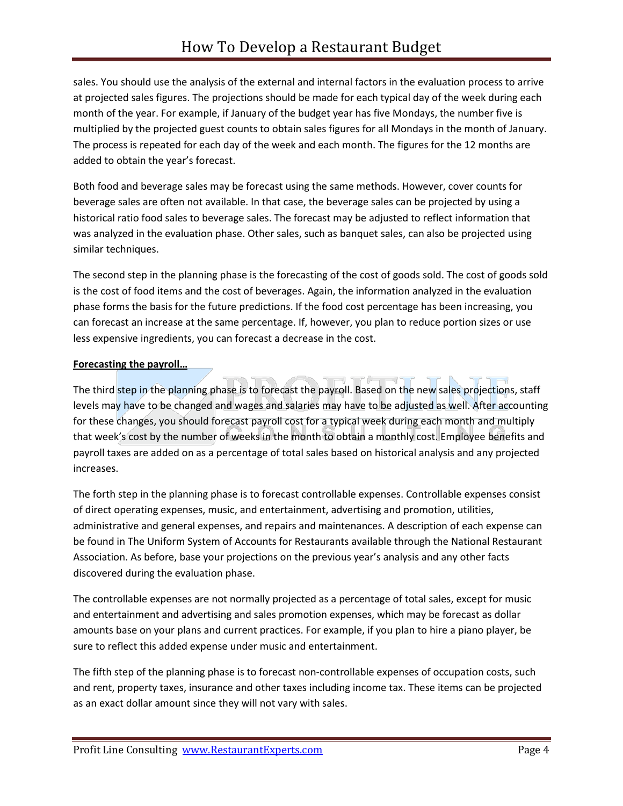sales. You should use the analysis of the external and internal factors in the evaluation process to arrive at projected sales figures. The projections should be made for each typical day of the week during each month of the year. For example, if January of the budget year has five Mondays, the number five is multiplied by the projected guest counts to obtain sales figures for all Mondays in the month of January. The process is repeated for each day of the week and each month. The figures for the 12 months are added to obtain the year's forecast.

Both food and beverage sales may be forecast using the same methods. However, cover counts for beverage sales are often not available. In that case, the beverage sales can be projected by using a historical ratio food sales to beverage sales. The forecast may be adjusted to reflect information that was analyzed in the evaluation phase. Other sales, such as banquet sales, can also be projected using similar techniques.

The second step in the planning phase is the forecasting of the cost of goods sold. The cost of goods sold is the cost of food items and the cost of beverages. Again, the information analyzed in the evaluation phase forms the basis for the future predictions. If the food cost percentage has been increasing, you can forecast an increase at the same percentage. If, however, you plan to reduce portion sizes or use less expensive ingredients, you can forecast a decrease in the cost.

## **Forecasting the payroll…**

The third step in the planning phase is to forecast the payroll. Based on the new sales projections, staff levels may have to be changed and wages and salaries may have to be adjusted as well. After accounting for these changes, you should forecast payroll cost for a typical week during each month and multiply that week's cost by the number of weeks in the month to obtain a monthly cost. Employee benefits and payroll taxes are added on as a percentage of total sales based on historical analysis and any projected increases.

The forth step in the planning phase is to forecast controllable expenses. Controllable expenses consist of direct operating expenses, music, and entertainment, advertising and promotion, utilities, administrative and general expenses, and repairs and maintenances. A description of each expense can be found in The Uniform System of Accounts for Restaurants available through the National Restaurant Association. As before, base your projections on the previous year's analysis and any other facts discovered during the evaluation phase.

The controllable expenses are not normally projected as a percentage of total sales, except for music and entertainment and advertising and sales promotion expenses, which may be forecast as dollar amounts base on your plans and current practices. For example, if you plan to hire a piano player, be sure to reflect this added expense under music and entertainment.

The fifth step of the planning phase is to forecast non-controllable expenses of occupation costs, such and rent, property taxes, insurance and other taxes including income tax. These items can be projected as an exact dollar amount since they will not vary with sales.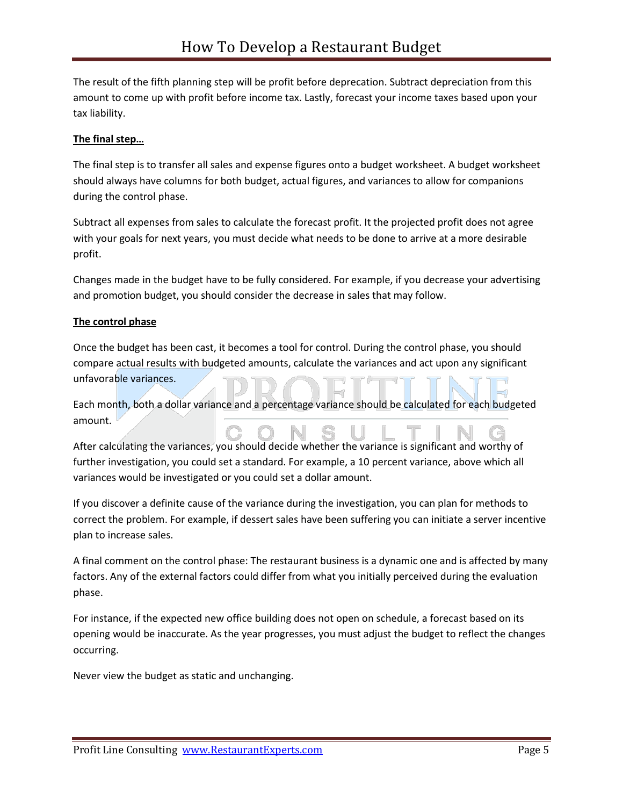The result of the fifth planning step will be profit before deprecation. Subtract depreciation from this amount to come up with profit before income tax. Lastly, forecast your income taxes based upon your tax liability.

# **The final step…**

The final step is to transfer all sales and expense figures onto a budget worksheet. A budget worksheet should always have columns for both budget, actual figures, and variances to allow for companions during the control phase.

Subtract all expenses from sales to calculate the forecast profit. It the projected profit does not agree with your goals for next years, you must decide what needs to be done to arrive at a more desirable profit.

Changes made in the budget have to be fully considered. For example, if you decrease your advertising and promotion budget, you should consider the decrease in sales that may follow.

# **The control phase**

Once the budget has been cast, it becomes a tool for control. During the control phase, you should compare actual results with budgeted amounts, calculate the variances and act upon any significant unfavorable variances.

Each month, both a dollar variance and a percentage variance should be calculated for each budgeted amount.

After calculating the variances, you should decide whether the variance is significant and worthy of further investigation, you could set a standard. For example, a 10 percent variance, above which all variances would be investigated or you could set a dollar amount.

If you discover a definite cause of the variance during the investigation, you can plan for methods to correct the problem. For example, if dessert sales have been suffering you can initiate a server incentive plan to increase sales.

A final comment on the control phase: The restaurant business is a dynamic one and is affected by many factors. Any of the external factors could differ from what you initially perceived during the evaluation phase.

For instance, if the expected new office building does not open on schedule, a forecast based on its opening would be inaccurate. As the year progresses, you must adjust the budget to reflect the changes occurring.

Never view the budget as static and unchanging.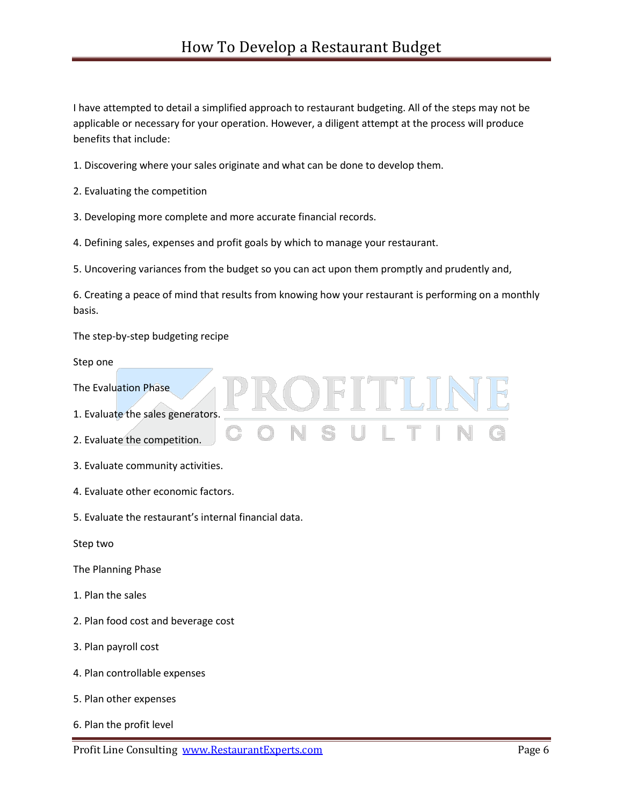I have attempted to detail a simplified approach to restaurant budgeting. All of the steps may not be applicable or necessary for your operation. However, a diligent attempt at the process will produce benefits that include:

- 1. Discovering where your sales originate and what can be done to develop them.
- 2. Evaluating the competition
- 3. Developing more complete and more accurate financial records.
- 4. Defining sales, expenses and profit goals by which to manage your restaurant.
- 5. Uncovering variances from the budget so you can act upon them promptly and prudently and,

6. Creating a peace of mind that results from knowing how your restaurant is performing on a monthly basis.

DFITLINE

The step-by-step budgeting recipe

Step one

- The Evaluation Phase
- 1. Evaluate the sales generators.
- 2. Evaluate the competition.
- 3. Evaluate community activities.
- 4. Evaluate other economic factors.
- 5. Evaluate the restaurant's internal financial data.

Step two

- The Planning Phase
- 1. Plan the sales
- 2. Plan food cost and beverage cost
- 3. Plan payroll cost
- 4. Plan controllable expenses
- 5. Plan other expenses
- 6. Plan the profit level